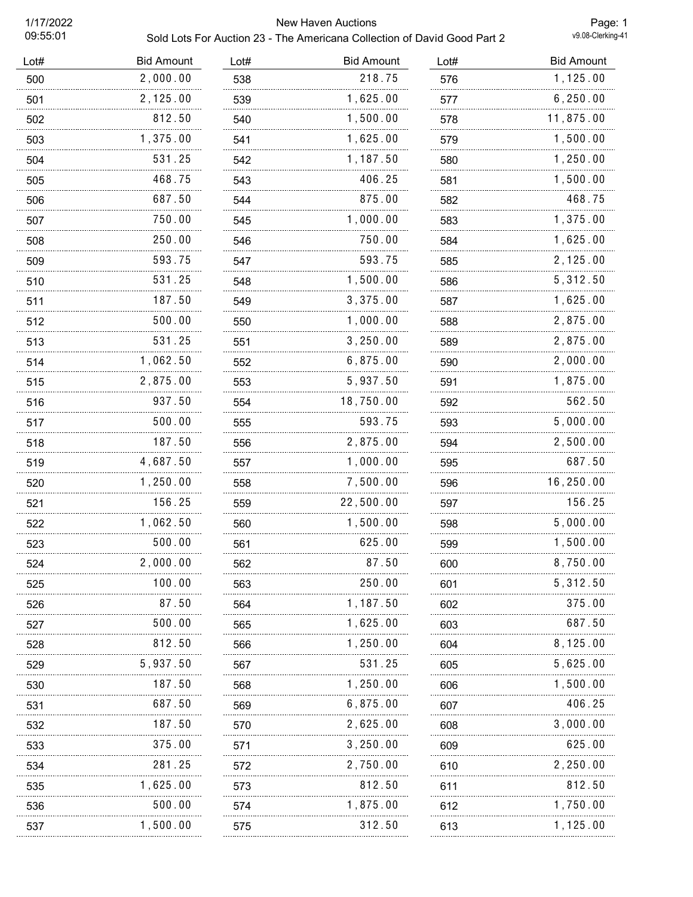## 1/17/2022 New Haven Auctions Sold Lots For Auction 23 - The Americana Collection of David Good Part 2

Page: 1<br>v9.08-Clerking-41

| Lot# | <b>Bid Amount</b> | Lot#     | <b>Bid Amount</b> | Lot# | <b>Bid Amount</b> |
|------|-------------------|----------|-------------------|------|-------------------|
| 500  | 2,000.00          | 538      | 218.75            | 576  | 1,125.00          |
| 501  | 2,125.00          | 539      | 1,625.00          | 577  | 6, 250.00         |
| 502  | 812.50            | 540      | 1,500.00          | 578  | 11,875.00         |
| 503  | 1,375.00          | 541      | 1,625.00          | 579  | 1,500.00          |
| 504  | 531.25            | 542      | 1,187.50          | 580  | 1,250.00          |
| 505  | 468.75            | 543      | 406.25            | 581  | 1,500.00          |
| 506  | 687.50            | 544      | 875.00            | 582  | 468.75            |
| 507  | 750.00            | 545      | 1,000.00          | 583  | 1,375.00          |
| 508  | 250.00            | 546      | 750.00            | 584  | 1,625.00          |
| 509  | 593.75            | 547      | 593.75            | 585  | 2,125.00          |
| 510  | 531.25            | 548      | 1,500.00          | 586  | 5, 312.50         |
| 511  | 187.50            | 549      | 3,375.00          | 587  | 1,625.00          |
| 512  | 500.00            | 550      | 1,000.00          | 588  | 2,875.00          |
| 513  | 531.25            | 551      | 3, 250.00         | 589  | 2,875.00          |
| 514  | 1,062.50          | 552      | 6,875.00          | 590  | 2,000.00          |
| 515  | 2,875.00          | 553      | 5,937.50          | 591  | 1,875.00          |
| 516  | 937.50            | 554      | 18,750.00         | 592  | 562.50            |
| 517  | 500.00            | 555      | 593.75            | 593  | 5,000.00          |
| 518  | 187.50            | 556      | 2,875.00          | 594  | 2,500.00          |
| 519  | 4,687.50          | 557      | 1,000.00          | 595  | 687.50            |
| 520  | 1,250.00          | 558      | 7,500.00          | 596  | 16,250.00         |
| 521  | 156.25            | 559      | 22,500.00         | 597  | 156.25            |
| 522  | 1,062.50          | 560<br>. | 1,500.00          | 598  | 5,000.00          |
| 523  | 500.00            | 561      | 625.00            | 599  | 1,500.00          |
| 524  | 2,000.00          | 562      | 87.50             | 600  | 8,750.00          |
| 525  | 100.00            | 563      | 250.00            | 601  | 5,312.50          |
| 526  | 87.50             | 564      | 1,187.50          | 602  | 375.00            |
| 527  | 500.00            | 565      | 1,625.00          | 603  | 687.50            |
| 528  | 812.50            | 566      | 1,250.00          | 604  | 8,125.00          |
| 529  | 5,937.50          | 567      | 531.25            | 605  | 5,625.00          |
| 530  | 187.50            | 568      | 1,250.00          | 606  | 1,500.00          |
| 531  | 687.50            | 569      | 6,875.00          | 607  | 406.25            |
| 532  | 187.50            | 570      | 2,625.00          | 608  | 3,000.00          |
| 533  | 375.00            | 571      | 3, 250.00         | 609  | 625.00            |
| 534  | 281.25            | 572      | 2,750.00          | 610  | 2,250.00          |
| 535  | 1,625.00          | 573      | 812.50            | 611  | 812.50            |
| 536  | 500.00            | 574      | 1,875.00          | 612  | 1,750.00          |
| 537  | 1,500.00          | 575      | 312.50            | 613  | 1,125.00          |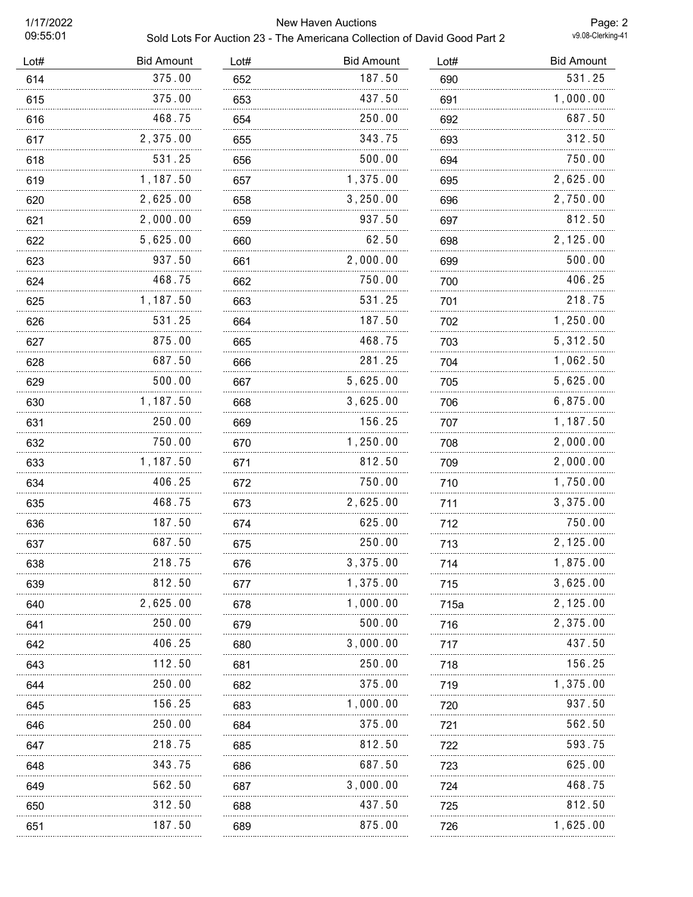## 1/17/2022 New Haven Auctions Sold Lots For Auction 23 - The Americana Collection of David Good Part 2

| <b>Bid Amount</b> | Lot# | <b>Bid Amount</b> | Lot# | <b>Bid Amount</b> |
|-------------------|------|-------------------|------|-------------------|
| 375.00            | 652  | 187.50            | 690  | 531.25            |
| 375.00            | 653  | 437.50            | 691  | 1,000.00          |
| 468.75            | 654  | 250.00            | 692  | 687.50            |
| 2,375.00          | 655  | 343.75            | 693  | 312.50            |
| 531.25            | 656  | 500.00            | 694  | 750.00            |
| 1,187.50          | 657  | 1,375.00          | 695  | 2,625.00          |
| 2,625.00          | 658  | 3, 250.00         | 696  | 2,750.00          |
| 2,000.00          | 659  | 937.50            | 697  | 812.50            |
| 5,625.00          | 660  | 62.50             | 698  | 2, 125.00         |
| 937.50            | 661  | 2,000.00          | 699  | 500.00            |
| 468.75            | 662  | 750.00            | 700  | 406.25            |
| 1,187.50          | 663  | 531.25            | 701  | 218.75            |
| 531.25            | 664  | 187.50            | 702  | 1,250.00          |
| 875.00            | 665  | 468.75            | 703  | 5,312.50          |
| 687.50            | 666  | 281.25            | 704  | 1,062.50          |
| 500.00            | 667  | 5,625.00          | 705  | 5,625.00          |
| 1,187.50          | 668  | 3,625.00          | 706  | 6,875.00          |
| 250.00            | 669  | 156.25            | 707  | 1,187.50          |
| 750.00            | 670  | 1,250.00          | 708  | 2,000.00          |
| 1,187.50          | 671  | 812.50            | 709  | 2,000.00          |
| 406.25            | 672  | 750.00            | 710  | 1,750.00          |
| 468.75            | 673  | 2,625.00          | 711  | 3,375.00          |
| 187.50            | 674  | 625.00            | 712  | 750.00            |
| 687.50            | 675  | 250.00            | 713  | 2,125.00          |
| 218.75            | 676  | 3,375.00          | 714  | 1,875.00          |
| 812.50            | 677  | 1,375.00          | 715  | 3,625.00          |
| 2,625.00          | 678  | 1,000.00          | 715a | 2,125.00          |
| 250.00            | 679  | 500.00            | 716  | 2,375.00          |
| 406.25            | 680  | 3,000.00          | 717  | 437.50            |
| 112.50            | 681  | 250.00            | 718  | 156.25            |
| 250.00            | 682  | 375.00            | 719  | 1,375.00          |
| 156.25            | 683  | 1,000.00          | 720  | 937.50            |
| 250.00            | 684  | 375.00            | 721  | 562.50            |
| 218.75            | 685  | 812.50            | 722  | 593.75            |
| 343.75            | 686  | 687.50            | 723  | 625.00            |
| 562.50            | 687  | 3,000.00          | 724  | 468.75            |
| 312.50            | 688  | 437.50            | 725  | 812.50            |
| 187.50            | 689  | 875.00            | 726  | 1,625.00          |
|                   | .    | .                 |      |                   |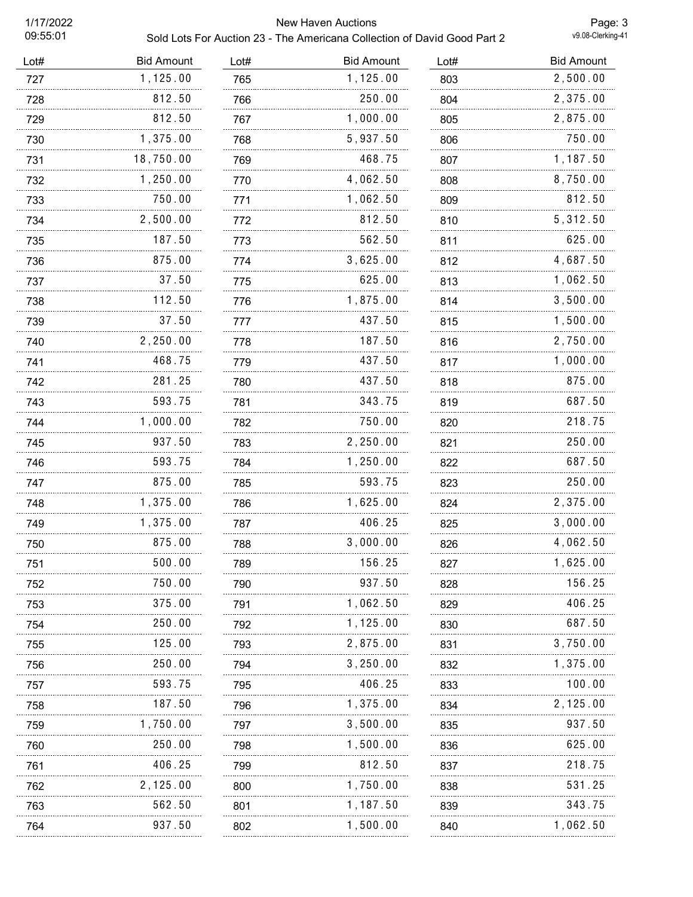## 1/17/2022 New Haven Auctions

| 09:55:01 | Sold Lots For Auction 23 - The Americana Collection of David Good Part 2 | v9.08-Clerking-41 |                   |      |                   |
|----------|--------------------------------------------------------------------------|-------------------|-------------------|------|-------------------|
| Lot#     | <b>Bid Amount</b>                                                        | Lot#              | <b>Bid Amount</b> | Lot# | <b>Bid Amount</b> |
| 727      | 1,125.00                                                                 | 765               | 1,125.00          | 803  | 2,500.00          |
| 728      | 812.50                                                                   | 766               | 250.00            | 804  | 2,375.00          |
| 729      | 812.50                                                                   | 767               | 1,000.00          | 805  | 2,875.00          |
| 730      | 1,375.00                                                                 | 768               | 5,937.50          | 806  | 750.00            |
| 731      | 18,750.00                                                                | 769               | 468.75            | 807  | 1,187.50          |
| 732      | 1,250.00                                                                 | 770               | 4,062.50          | 808  | 8,750.00          |
| 733      | 750.00                                                                   | 771               | 1,062.50          | 809  | 812.50            |
| 734      | 2,500.00                                                                 | 772               | 812.50            | 810  | 5,312.50          |
| 735      | 187.50                                                                   | 773               | 562.50            | 811  | 625.00            |
| 736      | 875.00                                                                   | 774               | 3,625.00          | 812  | 4,687.50          |
| 737      | 37.50                                                                    | 775               | 625.00            | 813  | 1,062.50          |
| 738      | 112.50                                                                   | 776               | 1,875.00          | 814  | 3,500.00          |
| 739      | 37.50                                                                    | 777               | 437.50            | 815  | 1,500.00          |
| 740      | 2,250.00                                                                 | 778               | 187.50            | 816  | 2,750.00          |
| 741      | 468.75                                                                   | 779               | 437.50            | 817  | 1,000.00          |
| 742      | 281.25                                                                   | 780               | 437.50            | 818  | 875.00            |
| 743      | 593.75                                                                   | 781               | 343.75            | 819  | 687.50            |
| 744      | 1,000.00                                                                 | 782               | 750.00            | 820  | 218.75            |
| 745      | 937.50                                                                   | 783               | 2,250.00          | 821  | 250.00            |
| 746      | 593.75                                                                   | 784               | 1,250.00          | 822  | 687.50            |
| 747      | 875.00                                                                   | 785               | 593.75            | 823  | 250.00            |
| 748      | 1,375.00                                                                 | 786               | 1,625.00          | 824  | 2,375.00          |
| 749      | 1,375.00                                                                 | 787               | 406.25            | 825  | 3,000.00          |
| 750      | 875.00                                                                   | 788               | 3,000.00          | 826  | 4,062.50          |
| 751      | 500.00                                                                   | 789               | 156.25            | 827  | 1,625.00          |
| 752      | 750.00                                                                   | 790               | 937.50            | 828  | 156.25            |
| 753      | 375.00                                                                   | 791               | 1,062.50          | 829  | 406.25            |
| 754      | 250.00                                                                   | 792               | 1,125.00          | 830  | 687.50            |
| 755      | 125.00                                                                   | 793               | 2,875.00          | 831  | 3,750.00          |
| 756      | 250.00                                                                   | 794               | 3,250.00          | 832  | 1,375.00          |
| 757      | 593.75                                                                   | 795               | 406.25            | 833  | 100.00            |
| 758      | 187.50                                                                   | 796               | 1,375.00          | 834  | 2,125.00          |
| 759      | 1,750.00                                                                 | 797               | 3,500.00          | 835  | 937.50            |
| 760      | 250.00                                                                   | 798               | 1,500.00          | 836  | 625.00            |
| 761      | 406.25                                                                   | 799               | 812.50            | 837  | 218.75            |
| 762      | 2,125.00                                                                 | 800               | 1,750.00          | 838  | 531.25            |
| 763      | 562.50                                                                   | 801               | 1,187.50          | 839  | 343.75            |
| 764      | 937.50                                                                   | 802               | 1,500.00          | 840  | 1,062.50          |